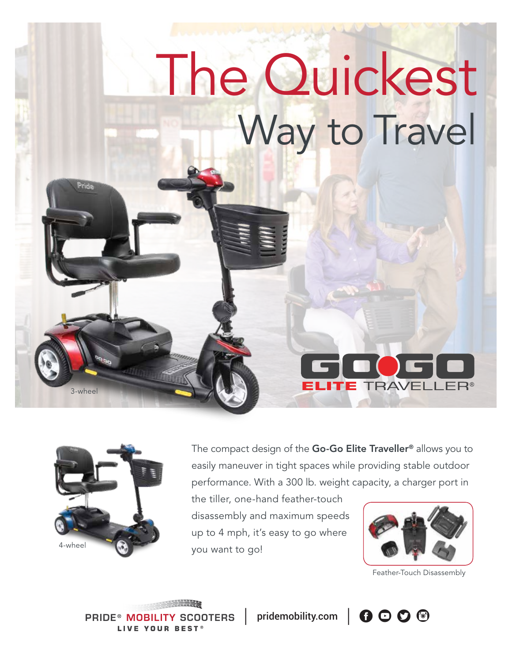# The Quickest Way to Travel



3-wheel

Pride

The compact design of the Go-Go Elite Traveller<sup>®</sup> allows you to easily maneuver in tight spaces while providing stable outdoor performance. With a 300 lb. weight capacity, a charger port in

the tiller, one-hand feather-touch disassembly and maximum speeds up to 4 mph, it's easy to go where you want to go!



**TE TRAVELLER®** 

Feather-Touch Disassembly

**PRIDE® MOBILITY SCOOTERS** LIVE YOUR BEST®